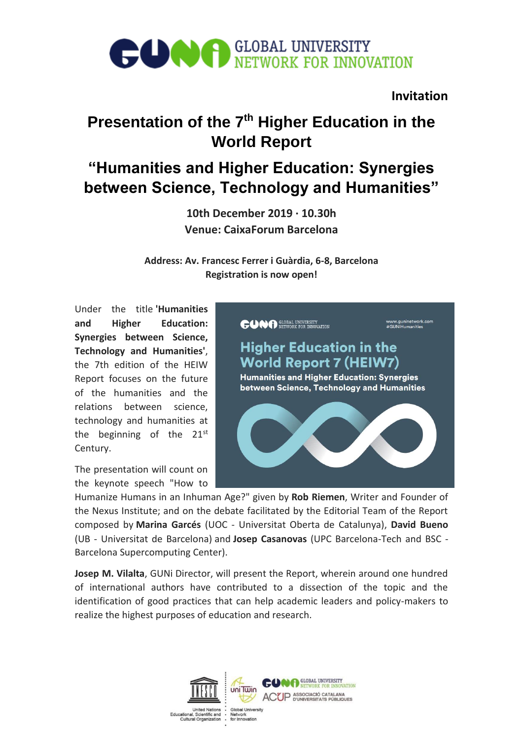# **CONFIRENTIAL UNIVERSITY** NETWORK FOR INNOVATION

## **Invitation**

# **Presentation of the 7th Higher Education in the World Report**

# **"Humanities and Higher Education: Synergies between Science, Technology and Humanities"**

**10th December 2019 · 10.30h Venue: CaixaForum Barcelona**

**Address: Av. Francesc Ferrer i Guàrdia, 6-8, Barcelona Registration is now open!**

Under the title **'Humanities and Higher Education: Synergies between Science, Technology and Humanities'**, the 7th edition of the HEIW Report focuses on the future of the humanities and the relations between science, technology and humanities at the beginning of the  $21^{st}$ Century.

The presentation will count on the keynote speech "How to



Humanize Humans in an Inhuman Age?" given by **Rob Riemen**, Writer and Founder of the Nexus Institute; and on the debate facilitated by the Editorial Team of the Report composed by **Marina Garcés** (UOC - Universitat Oberta de Catalunya), **David Bueno** (UB - Universitat de Barcelona) and **Josep Casanovas** (UPC Barcelona-Tech and BSC - Barcelona Supercomputing Center).

**Josep M. Vilalta**, GUNi Director, will present the Report, wherein around one hundred of international authors have contributed to a dissection of the topic and the identification of good practices that can help academic leaders and policy-makers to realize the highest purposes of education and research.

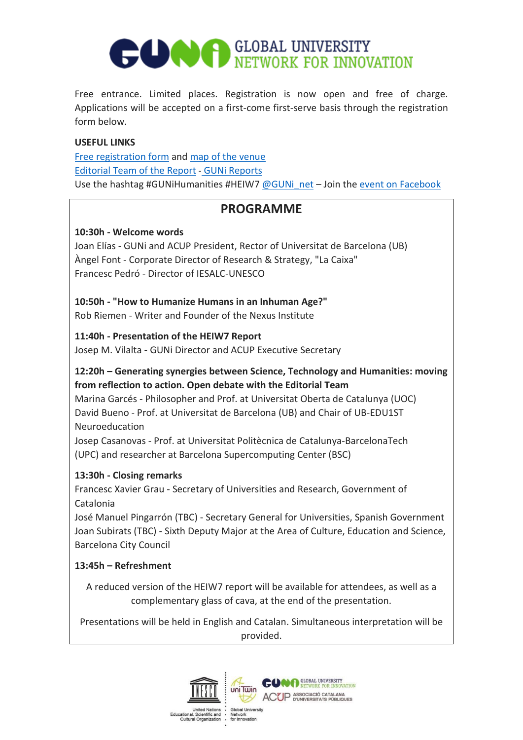# **CONFIGLOBAL UNIVERSITY** NETWORK FOR INNOVATION

Free entrance. Limited places. Registration is now open and free of charge. Applications will be accepted on a first-come first-serve basis through the registration form below.

### **USEFUL LINKS**

[Free registration form](http://www.guninetwork.org/events/presentation-7th-higher-education-world-report-heiw7-10122019/inscription) and [map of the venue](https://www.google.com/maps?ll=41.371308,2.149575&z=14&t=m&hl=ca&gl=ES&mapclient=embed&cid=10161281790655749665) [Editorial Team of the Report](http://www.guninetwork.org/activity/international-conference-humanities-and-higher-education#boards) - [GUNi Reports](http://www.guninetwork.org/guni-reports) Use the hashtag #GUNiHumanities #HEIW7  $@GUNi$  net – Join the [event on Facebook](https://www.facebook.com/events/2296343277255691/)

# **PROGRAMME**

## **10:30h - Welcome words**

Joan Elías - GUNi and ACUP President, Rector of Universitat de Barcelona (UB) Àngel Font - Corporate Director of Research & Strategy, "La Caixa" Francesc Pedró - Director of IESALC-UNESCO

**10:50h - "How to Humanize Humans in an Inhuman Age?"** Rob Riemen - Writer and Founder of the Nexus Institute

## **11:40h - Presentation of the HEIW7 Report**

Josep M. Vilalta - GUNi Director and ACUP Executive Secretary

## **12:20h – Generating synergies between Science, Technology and Humanities: moving from reflection to action. Open debate with the Editorial Team**

Marina Garcés - Philosopher and Prof. at Universitat Oberta de Catalunya (UOC) David Bueno - Prof. at Universitat de Barcelona (UB) and Chair of UB-EDU1ST Neuroeducation

Josep Casanovas - Prof. at Universitat Politècnica de Catalunya-BarcelonaTech (UPC) and researcher at Barcelona Supercomputing Center (BSC)

## **13:30h - Closing remarks**

Francesc Xavier Grau - Secretary of Universities and Research, Government of Catalonia

José Manuel Pingarrón (TBC) - Secretary General for Universities, Spanish Government Joan Subirats (TBC) - Sixth Deputy Major at the Area of Culture, Education and Science, Barcelona City Council

## **13:45h – Refreshment**

A reduced version of the HEIW7 report will be available for attendees, as well as a complementary glass of cava, at the end of the presentation.

Presentations will be held in English and Catalan. Simultaneous interpretation will be provided.

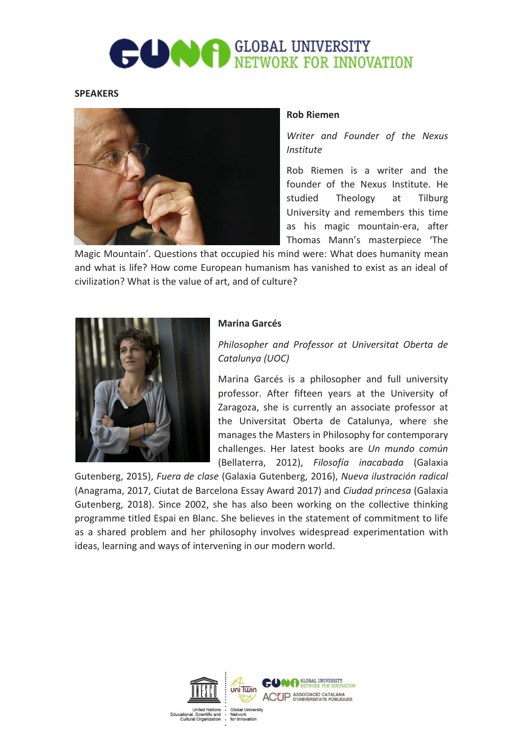# **CONFIRENTIAL UNIVERSITY** NETWORK FOR INNOVATION

#### **SPEAKERS**



#### **Rob Riemen**

*Writer and Founder of the Nexus Institute*

Rob Riemen is a writer and the founder of the Nexus Institute. He studied Theology at Tilburg University and remembers this time as his magic mountain-era, after Thomas Mann's masterpiece 'The

Magic Mountain'. Questions that occupied his mind were: What does humanity mean and what is life? How come European humanism has vanished to exist as an ideal of civilization? What is the value of art, and of culture?



#### **Marina Garcés**

*Philosopher and Professor at Universitat Oberta de Catalunya (UOC)*

Marina Garcés is a philosopher and full university professor. After fifteen years at the University of Zaragoza, she is currently an associate professor at the Universitat Oberta de Catalunya, where she manages the Masters in Philosophy for contemporary challenges. Her latest books are *Un mundo común* (Bellaterra, 2012), *Filosofía inacabada* (Galaxia

Gutenberg, 2015), *Fuera de clase* (Galaxia Gutenberg, 2016), *Nueva ilustración radical* (Anagrama, 2017, Ciutat de Barcelona Essay Award 2017) and *Ciudad princesa* (Galaxia Gutenberg, 2018). Since 2002, she has also been working on the collective thinking programme titled Espai en Blanc. She believes in the statement of commitment to life as a shared problem and her philosophy involves widespread experimentation with ideas, learning and ways of intervening in our modern world.

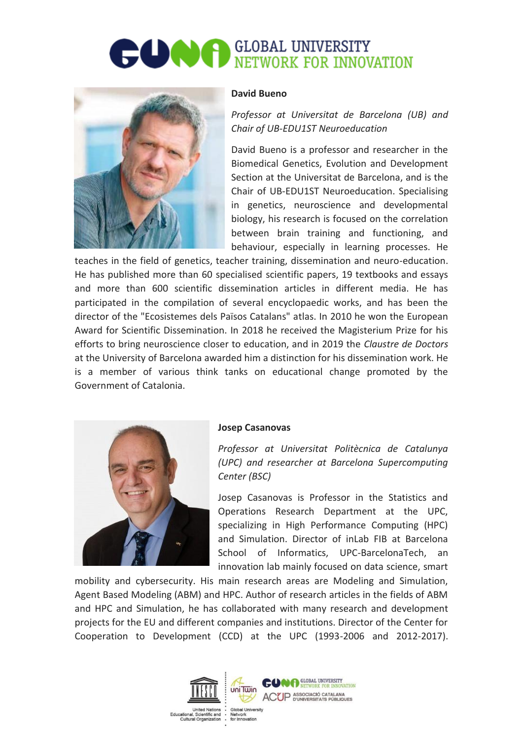# **DOOR GLOBAL UNIVERSITY** NETWORK FOR INNOVATION



#### **David Bueno**

*Professor at Universitat de Barcelona (UB) and Chair of UB-EDU1ST Neuroeducation*

David Bueno is a professor and researcher in the Biomedical Genetics, Evolution and Development Section at the Universitat de Barcelona, and is the Chair of UB-EDU1ST Neuroeducation. Specialising in genetics, neuroscience and developmental biology, his research is focused on the correlation between brain training and functioning, and behaviour, especially in learning processes. He

teaches in the field of genetics, teacher training, dissemination and neuro-education. He has published more than 60 specialised scientific papers, 19 textbooks and essays and more than 600 scientific dissemination articles in different media. He has participated in the compilation of several encyclopaedic works, and has been the director of the "Ecosistemes dels Països Catalans" atlas. In 2010 he won the European Award for Scientific Dissemination. In 2018 he received the Magisterium Prize for his efforts to bring neuroscience closer to education, and in 2019 the *Claustre de Doctors* at the University of Barcelona awarded him a distinction for his dissemination work. He is a member of various think tanks on educational change promoted by the Government of Catalonia.



#### **Josep Casanovas**

*Professor at Universitat Politècnica de Catalunya (UPC) and researcher at Barcelona Supercomputing Center (BSC)*

Josep Casanovas is Professor in the Statistics and Operations Research Department at the UPC, specializing in High Performance Computing (HPC) and Simulation. Director of inLab FIB at Barcelona School of Informatics, UPC-BarcelonaTech, an innovation lab mainly focused on data science, smart

mobility and cybersecurity. His main research areas are Modeling and Simulation, Agent Based Modeling (ABM) and HPC. Author of research articles in the fields of ABM and HPC and Simulation, he has collaborated with many research and development projects for the EU and different companies and institutions. Director of the Center for Cooperation to Development (CCD) at the UPC (1993-2006 and 2012-2017).

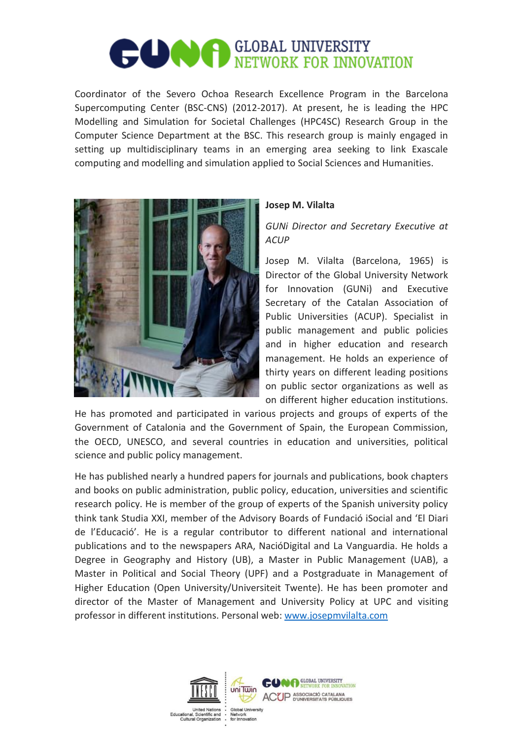# **CONFIGLOBAL UNIVERSITY** NETWORK FOR INNOVATION

Coordinator of the Severo Ochoa Research Excellence Program in the Barcelona Supercomputing Center (BSC-CNS) (2012-2017). At present, he is leading the HPC Modelling and Simulation for Societal Challenges (HPC4SC) Research Group in the Computer Science Department at the BSC. This research group is mainly engaged in setting up multidisciplinary teams in an emerging area seeking to link Exascale computing and modelling and simulation applied to Social Sciences and Humanities.



### **Josep M. Vilalta**

*GUNi Director and Secretary Executive at ACUP*

Josep M. Vilalta (Barcelona, 1965) is Director of the Global University Network for Innovation (GUNi) and Executive Secretary of the Catalan Association of Public Universities (ACUP). Specialist in public management and public policies and in higher education and research management. He holds an experience of thirty years on different leading positions on public sector organizations as well as on different higher education institutions.

He has promoted and participated in various projects and groups of experts of the Government of Catalonia and the Government of Spain, the European Commission, the OECD, UNESCO, and several countries in education and universities, political science and public policy management.

He has published nearly a hundred papers for journals and publications, book chapters and books on public administration, public policy, education, universities and scientific research policy. He is member of the group of experts of the Spanish university policy think tank Studia XXI, member of the Advisory Boards of Fundació iSocial and 'El Diari de l'Educació'. He is a regular contributor to different national and international publications and to the newspapers ARA, NacióDigital and La Vanguardia. He holds a Degree in Geography and History (UB), a Master in Public Management (UAB), a Master in Political and Social Theory (UPF) and a Postgraduate in Management of Higher Education (Open University/Universiteit Twente). He has been promoter and director of the Master of Management and University Policy at UPC and visiting professor in different institutions. Personal web: [www.josepmvilalta.com](http://www.josepmvilalta.com/)